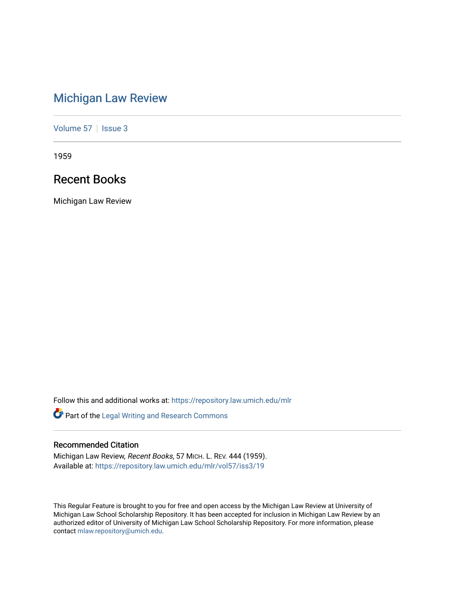# [Michigan Law Review](https://repository.law.umich.edu/mlr)

[Volume 57](https://repository.law.umich.edu/mlr/vol57) | [Issue 3](https://repository.law.umich.edu/mlr/vol57/iss3)

1959

## Recent Books

Michigan Law Review

Follow this and additional works at: [https://repository.law.umich.edu/mlr](https://repository.law.umich.edu/mlr?utm_source=repository.law.umich.edu%2Fmlr%2Fvol57%2Fiss3%2F19&utm_medium=PDF&utm_campaign=PDFCoverPages) 

Part of the [Legal Writing and Research Commons](http://network.bepress.com/hgg/discipline/614?utm_source=repository.law.umich.edu%2Fmlr%2Fvol57%2Fiss3%2F19&utm_medium=PDF&utm_campaign=PDFCoverPages) 

### Recommended Citation

Michigan Law Review, Recent Books, 57 MICH. L. REV. 444 (1959). Available at: [https://repository.law.umich.edu/mlr/vol57/iss3/19](https://repository.law.umich.edu/mlr/vol57/iss3/19?utm_source=repository.law.umich.edu%2Fmlr%2Fvol57%2Fiss3%2F19&utm_medium=PDF&utm_campaign=PDFCoverPages) 

This Regular Feature is brought to you for free and open access by the Michigan Law Review at University of Michigan Law School Scholarship Repository. It has been accepted for inclusion in Michigan Law Review by an authorized editor of University of Michigan Law School Scholarship Repository. For more information, please contact [mlaw.repository@umich.edu](mailto:mlaw.repository@umich.edu).